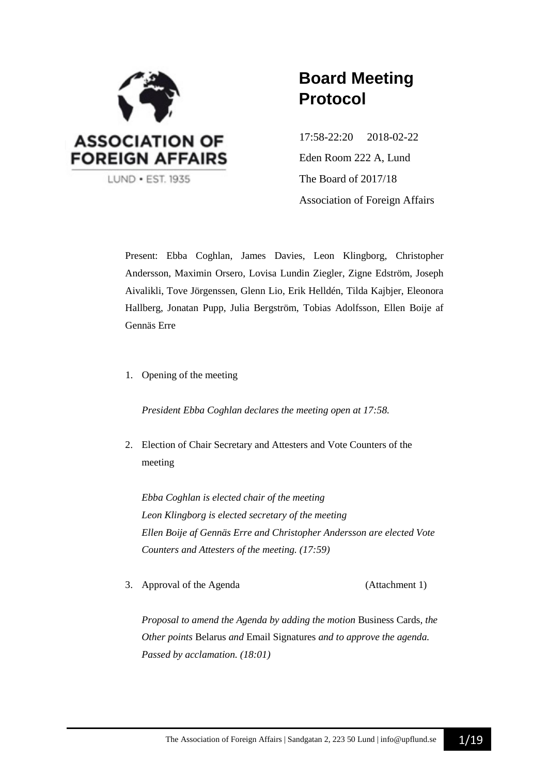

## **Board Meeting Protocol**

17:58-22:20 2018-02-22 Eden Room 222 A, Lund The Board of 2017/18 Association of Foreign Affairs

Present: Ebba Coghlan, James Davies, Leon Klingborg, Christopher Andersson, Maximin Orsero, Lovisa Lundin Ziegler, Zigne Edström, Joseph Aivalikli, Tove Jörgenssen, Glenn Lio, Erik Helldén, Tilda Kajbjer, Eleonora Hallberg, Jonatan Pupp, Julia Bergström, Tobias Adolfsson, Ellen Boije af Gennäs Erre

1. Opening of the meeting

*President Ebba Coghlan declares the meeting open at 17:58.*

2. Election of Chair Secretary and Attesters and Vote Counters of the meeting

*Ebba Coghlan is elected chair of the meeting Leon Klingborg is elected secretary of the meeting Ellen Boije af Gennäs Erre and Christopher Andersson are elected Vote Counters and Attesters of the meeting. (17:59)*

3. Approval of the Agenda (Attachment 1)

*Proposal to amend the Agenda by adding the motion* Business Cards*, the Other points* Belarus *and* Email Signatures *and to approve the agenda. Passed by acclamation. (18:01)*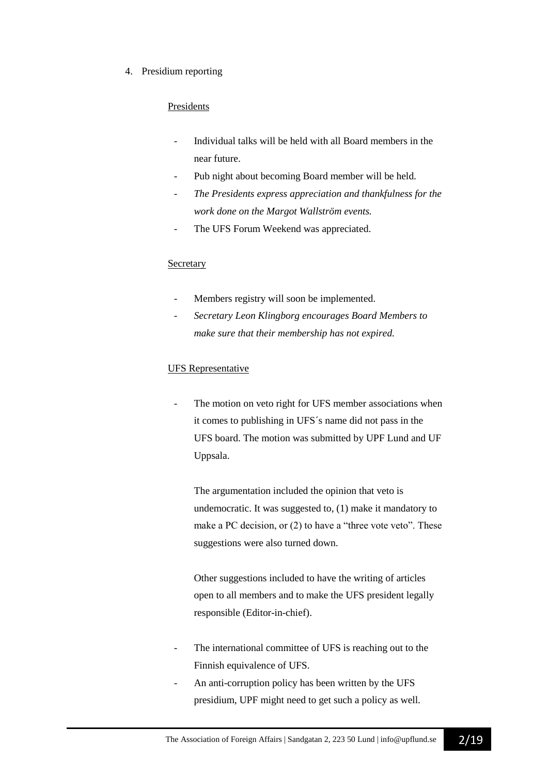4. Presidium reporting

## Presidents

- Individual talks will be held with all Board members in the near future.
- Pub night about becoming Board member will be held.
- *The Presidents express appreciation and thankfulness for the work done on the Margot Wallström events.*
- The UFS Forum Weekend was appreciated.

#### **Secretary**

- Members registry will soon be implemented.
- *Secretary Leon Klingborg encourages Board Members to make sure that their membership has not expired.*

## UFS Representative

The motion on veto right for UFS member associations when it comes to publishing in UFS´s name did not pass in the UFS board. The motion was submitted by UPF Lund and UF Uppsala.

The argumentation included the opinion that veto is undemocratic. It was suggested to, (1) make it mandatory to make a PC decision, or (2) to have a "three vote veto". These suggestions were also turned down.

Other suggestions included to have the writing of articles open to all members and to make the UFS president legally responsible (Editor-in-chief).

- The international committee of UFS is reaching out to the Finnish equivalence of UFS.
- An anti-corruption policy has been written by the UFS presidium, UPF might need to get such a policy as well.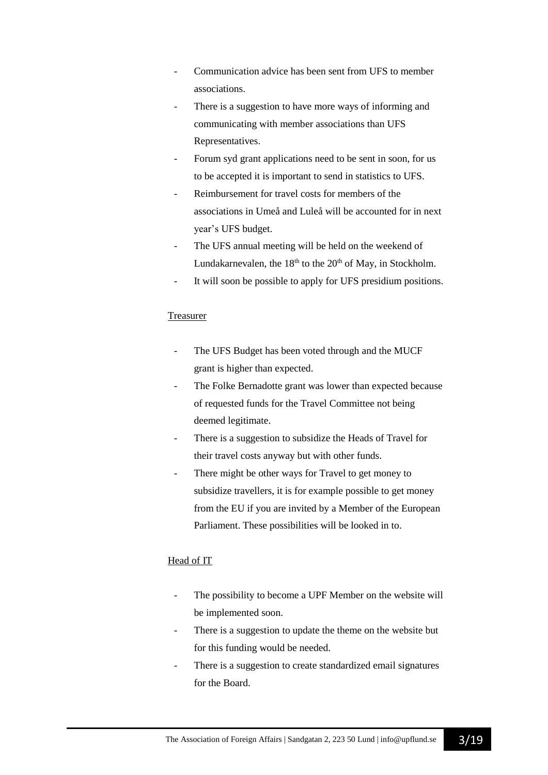- Communication advice has been sent from UFS to member associations.
- There is a suggestion to have more ways of informing and communicating with member associations than UFS Representatives.
- Forum syd grant applications need to be sent in soon, for us to be accepted it is important to send in statistics to UFS.
- Reimbursement for travel costs for members of the associations in Umeå and Luleå will be accounted for in next year's UFS budget.
- The UFS annual meeting will be held on the weekend of Lundakarnevalen, the  $18<sup>th</sup>$  to the  $20<sup>th</sup>$  of May, in Stockholm.
- It will soon be possible to apply for UFS presidium positions.

## **Treasurer**

- The UFS Budget has been voted through and the MUCF grant is higher than expected.
- The Folke Bernadotte grant was lower than expected because of requested funds for the Travel Committee not being deemed legitimate.
- There is a suggestion to subsidize the Heads of Travel for their travel costs anyway but with other funds.
- There might be other ways for Travel to get money to subsidize travellers, it is for example possible to get money from the EU if you are invited by a Member of the European Parliament. These possibilities will be looked in to.

## Head of IT

- The possibility to become a UPF Member on the website will be implemented soon.
- There is a suggestion to update the theme on the website but for this funding would be needed.
- There is a suggestion to create standardized email signatures for the Board.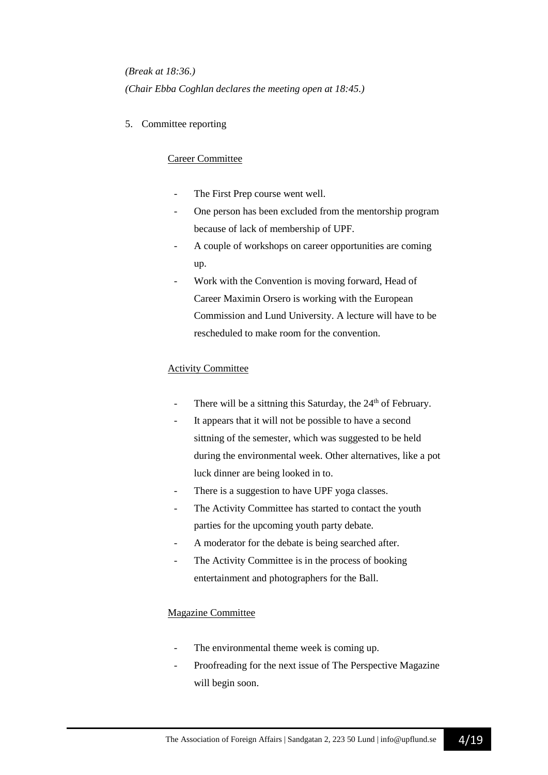*(Break at 18:36.) (Chair Ebba Coghlan declares the meeting open at 18:45.)*

5. Committee reporting

## Career Committee

- The First Prep course went well.
- One person has been excluded from the mentorship program because of lack of membership of UPF.
- A couple of workshops on career opportunities are coming up.
- Work with the Convention is moving forward, Head of Career Maximin Orsero is working with the European Commission and Lund University. A lecture will have to be rescheduled to make room for the convention.

## Activity Committee

- There will be a sittning this Saturday, the  $24<sup>th</sup>$  of February.
- It appears that it will not be possible to have a second sittning of the semester, which was suggested to be held during the environmental week. Other alternatives, like a pot luck dinner are being looked in to.
- There is a suggestion to have UPF yoga classes.
- The Activity Committee has started to contact the youth parties for the upcoming youth party debate.
- A moderator for the debate is being searched after.
- The Activity Committee is in the process of booking entertainment and photographers for the Ball.

## Magazine Committee

- The environmental theme week is coming up.
- Proofreading for the next issue of The Perspective Magazine will begin soon.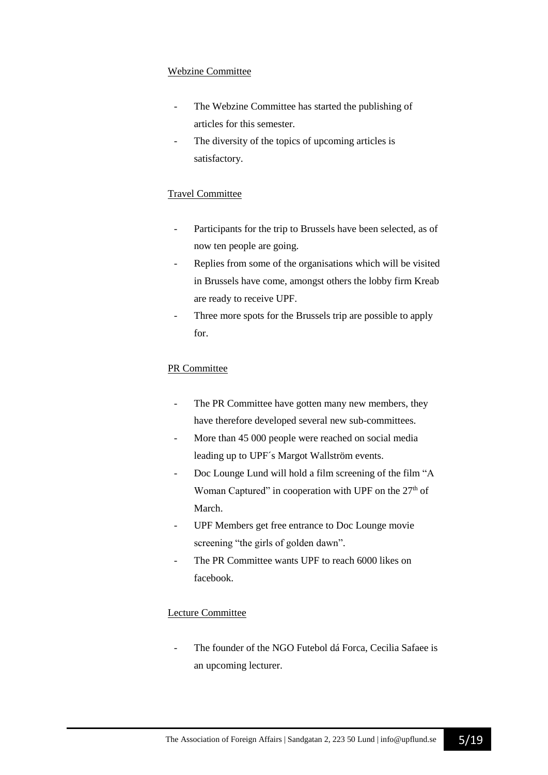## Webzine Committee

- The Webzine Committee has started the publishing of articles for this semester.
- The diversity of the topics of upcoming articles is satisfactory.

## Travel Committee

- Participants for the trip to Brussels have been selected, as of now ten people are going.
- Replies from some of the organisations which will be visited in Brussels have come, amongst others the lobby firm Kreab are ready to receive UPF.
- Three more spots for the Brussels trip are possible to apply for.

## PR Committee

- The PR Committee have gotten many new members, they have therefore developed several new sub-committees.
- More than 45 000 people were reached on social media leading up to UPF´s Margot Wallström events.
- Doc Lounge Lund will hold a film screening of the film "A Woman Captured" in cooperation with UPF on the  $27<sup>th</sup>$  of March.
- UPF Members get free entrance to Doc Lounge movie screening "the girls of golden dawn".
- The PR Committee wants UPF to reach 6000 likes on facebook.

## Lecture Committee

The founder of the NGO Futebol dá Forca, Cecilia Safaee is an upcoming lecturer.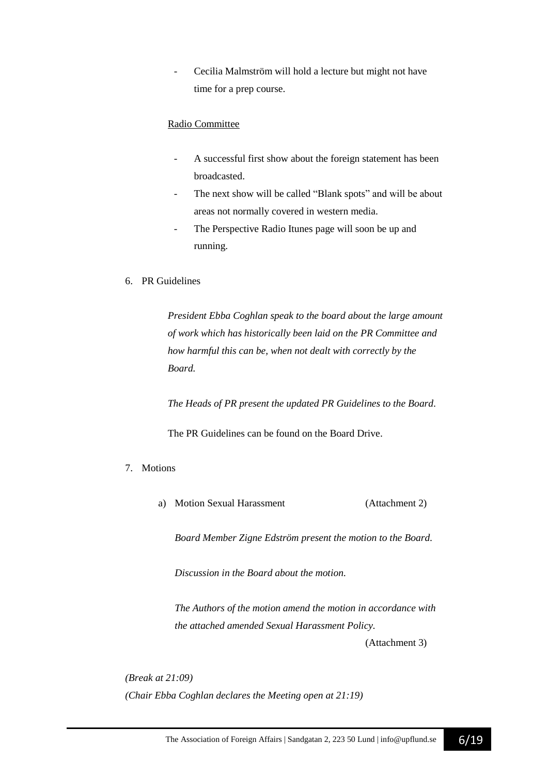Cecilia Malmström will hold a lecture but might not have time for a prep course.

## Radio Committee

- A successful first show about the foreign statement has been broadcasted.
- The next show will be called "Blank spots" and will be about areas not normally covered in western media.
- The Perspective Radio Itunes page will soon be up and running.

#### 6. PR Guidelines

*President Ebba Coghlan speak to the board about the large amount of work which has historically been laid on the PR Committee and how harmful this can be, when not dealt with correctly by the Board.* 

*The Heads of PR present the updated PR Guidelines to the Board.*

The PR Guidelines can be found on the Board Drive.

#### 7. Motions

a) Motion Sexual Harassment (Attachment 2)

*Board Member Zigne Edström present the motion to the Board.*

*Discussion in the Board about the motion.*

*The Authors of the motion amend the motion in accordance with the attached amended Sexual Harassment Policy.* (Attachment 3)

*(Break at 21:09) (Chair Ebba Coghlan declares the Meeting open at 21:19)*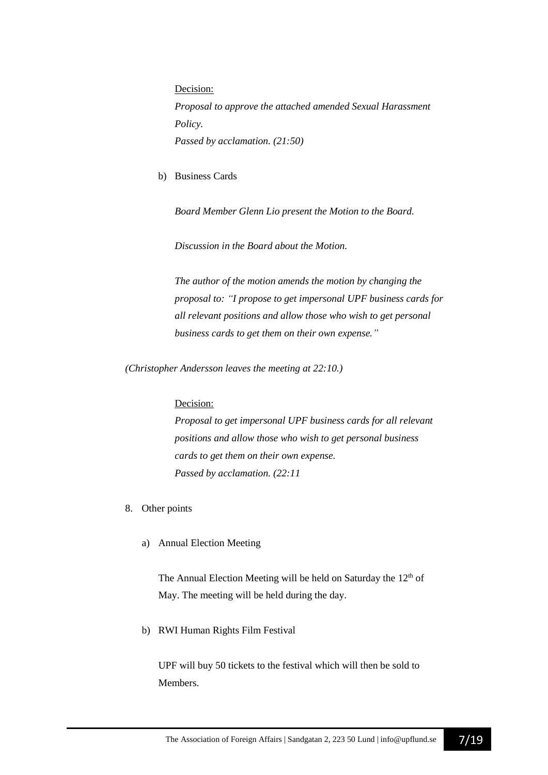Decision: *Proposal to approve the attached amended Sexual Harassment Policy. Passed by acclamation. (21:50)*

b) Business Cards

*Board Member Glenn Lio present the Motion to the Board.*

*Discussion in the Board about the Motion.*

*The author of the motion amends the motion by changing the proposal to: "I propose to get impersonal UPF business cards for all relevant positions and allow those who wish to get personal business cards to get them on their own expense."*

*(Christopher Andersson leaves the meeting at 22:10.)*

#### Decision:

*Proposal to get impersonal UPF business cards for all relevant positions and allow those who wish to get personal business cards to get them on their own expense. Passed by acclamation. (22:11*

- 8. Other points
	- a) Annual Election Meeting

The Annual Election Meeting will be held on Saturday the 12<sup>th</sup> of May. The meeting will be held during the day.

b) RWI Human Rights Film Festival

UPF will buy 50 tickets to the festival which will then be sold to **Members**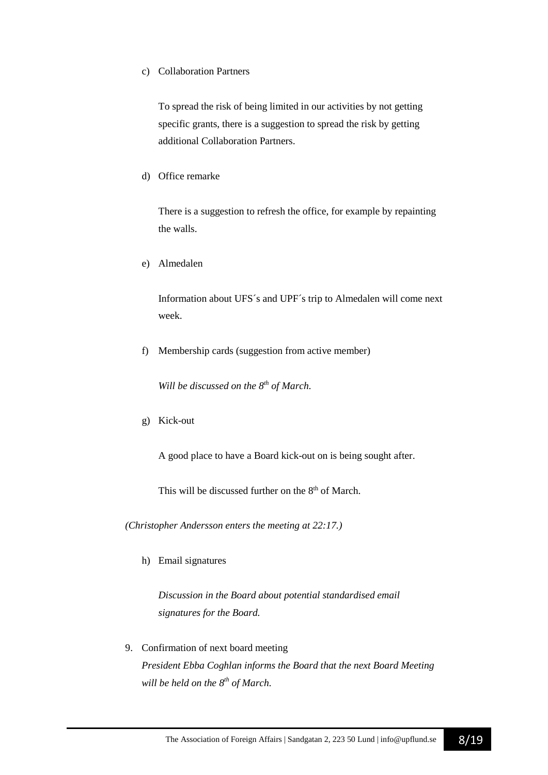#### c) Collaboration Partners

To spread the risk of being limited in our activities by not getting specific grants, there is a suggestion to spread the risk by getting additional Collaboration Partners.

### d) Office remarke

There is a suggestion to refresh the office, for example by repainting the walls.

e) Almedalen

Information about UFS´s and UPF´s trip to Almedalen will come next week.

f) Membership cards (suggestion from active member)

*Will be discussed on the 8th of March.*

g) Kick-out

A good place to have a Board kick-out on is being sought after.

This will be discussed further on the 8<sup>th</sup> of March.

*(Christopher Andersson enters the meeting at 22:17.)*

h) Email signatures

*Discussion in the Board about potential standardised email signatures for the Board.*

9. Confirmation of next board meeting *President Ebba Coghlan informs the Board that the next Board Meeting will be held on the 8 th of March.*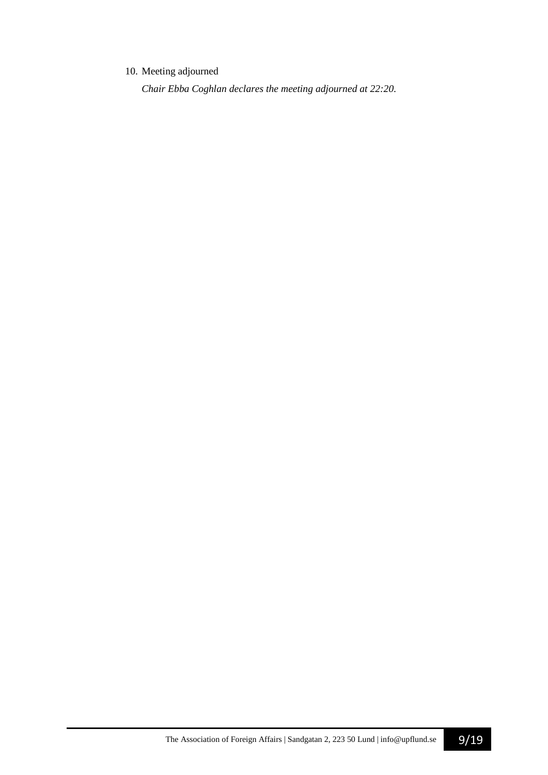## 10. Meeting adjourned

*Chair Ebba Coghlan declares the meeting adjourned at 22:20.*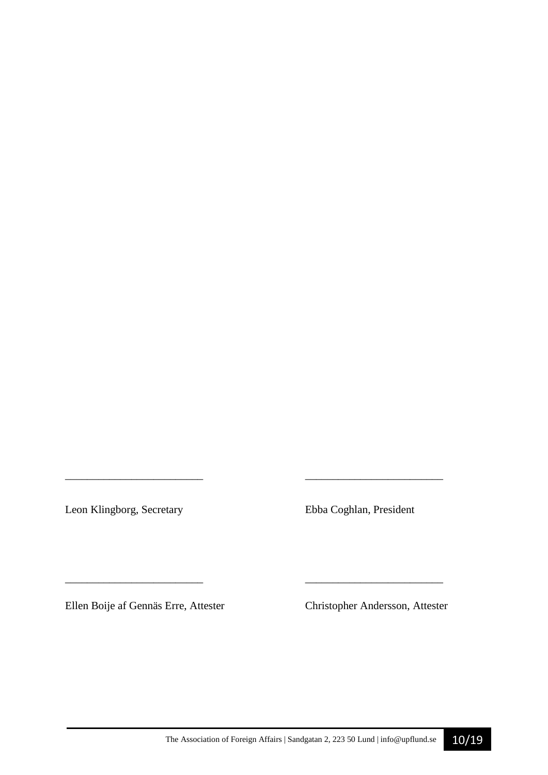Leon Klingborg, Secretary Ebba Coghlan, President

*\_\_\_\_\_\_\_\_\_\_\_\_\_\_\_\_\_\_\_\_\_\_\_\_\_ \_\_\_\_\_\_\_\_\_\_\_\_\_\_\_\_\_\_\_\_\_\_\_\_\_*

\_\_\_\_\_\_\_\_\_\_\_\_\_\_\_\_\_\_\_\_\_\_\_\_\_ \_\_\_\_\_\_\_\_\_\_\_\_\_\_\_\_\_\_\_\_\_\_\_\_\_

Ellen Boije af Gennäs Erre, Attester Christopher Andersson, Attester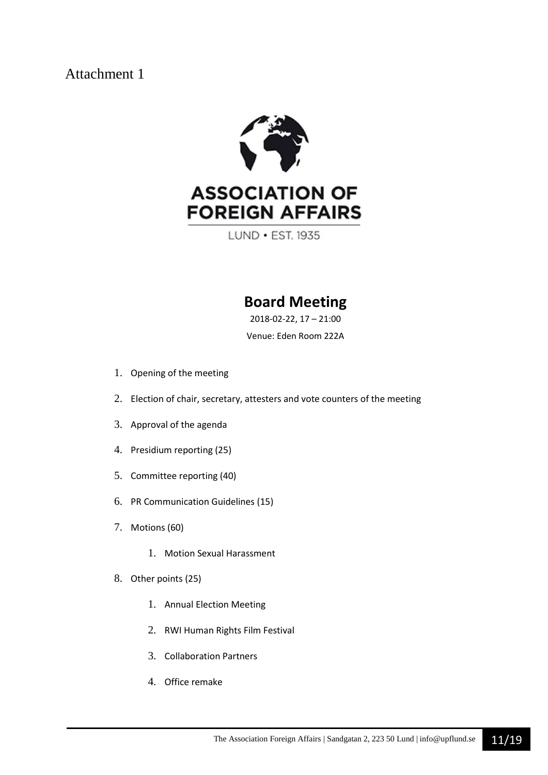

LUND • EST. 1935

## **Board Meeting**

2018-02-22, 17 – 21:00

Venue: Eden Room 222A

- 1. Opening of the meeting
- 2. Election of chair, secretary, attesters and vote counters of the meeting
- 3. Approval of the agenda
- 4. Presidium reporting (25)
- 5. Committee reporting (40)
- 6. PR Communication Guidelines (15)
- 7. Motions (60)
	- 1. Motion Sexual Harassment
- 8. Other points (25)
	- 1. Annual Election Meeting
	- 2. RWI Human Rights Film Festival
	- 3. Collaboration Partners
	- 4. Office remake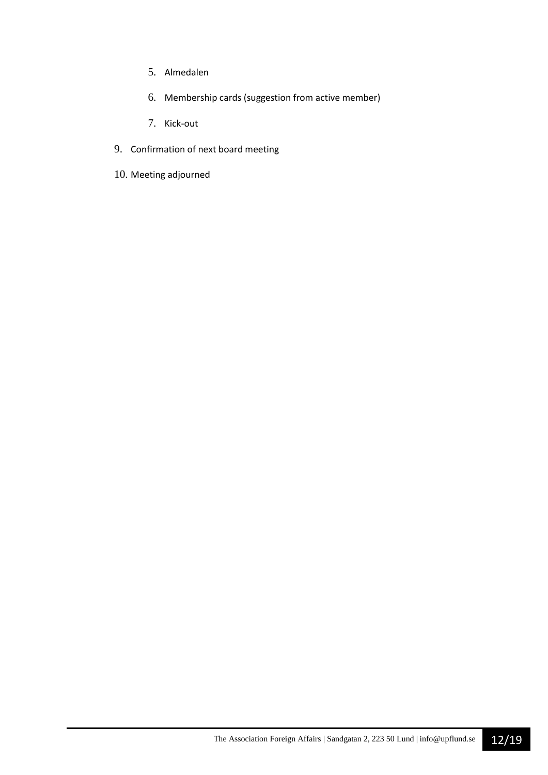- 5. Almedalen
- 6. Membership cards (suggestion from active member)
- 7. Kick-out
- 9. Confirmation of next board meeting
- 10. Meeting adjourned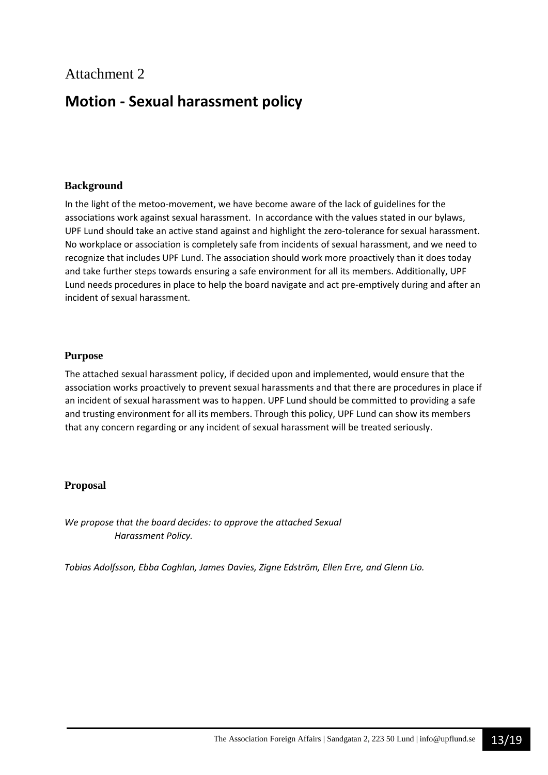## **Motion - Sexual harassment policy**

## **Background**

In the light of the metoo-movement, we have become aware of the lack of guidelines for the associations work against sexual harassment. In accordance with the values stated in our bylaws, UPF Lund should take an active stand against and highlight the zero-tolerance for sexual harassment. No workplace or association is completely safe from incidents of sexual harassment, and we need to recognize that includes UPF Lund. The association should work more proactively than it does today and take further steps towards ensuring a safe environment for all its members. Additionally, UPF Lund needs procedures in place to help the board navigate and act pre-emptively during and after an incident of sexual harassment.

## **Purpose**

The attached sexual harassment policy, if decided upon and implemented, would ensure that the association works proactively to prevent sexual harassments and that there are procedures in place if an incident of sexual harassment was to happen. UPF Lund should be committed to providing a safe and trusting environment for all its members. Through this policy, UPF Lund can show its members that any concern regarding or any incident of sexual harassment will be treated seriously.

## **Proposal**

*We propose that the board decides: to approve the attached Sexual Harassment Policy.* 

*Tobias Adolfsson, Ebba Coghlan, James Davies, Zigne Edström, Ellen Erre, and Glenn Lio.*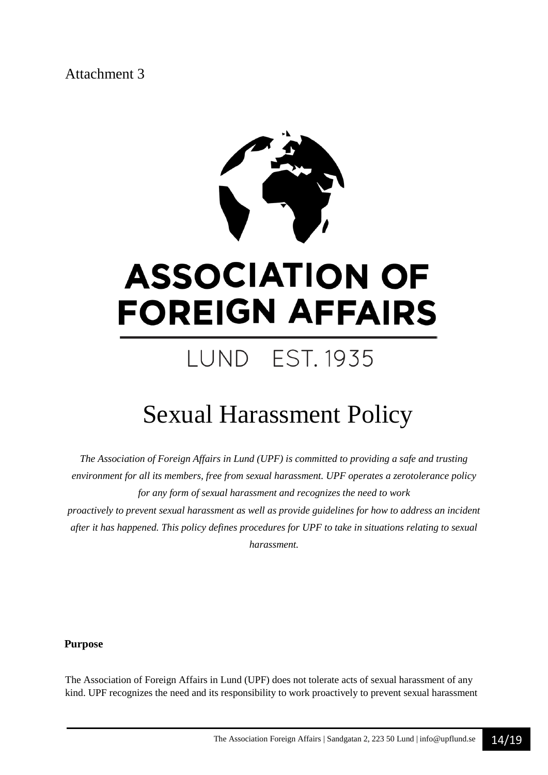

# **ASSOCIATION OF FOREIGN AFFAIRS**

## **LUND EST. 1935**

## Sexual Harassment Policy

*The Association of Foreign Affairs in Lund (UPF) is committed to providing a safe and trusting environment for all its members, free from sexual harassment. UPF operates a zerotolerance policy for any form of sexual harassment and recognizes the need to work proactively to prevent sexual harassment as well as provide guidelines for how to address an incident after it has happened. This policy defines procedures for UPF to take in situations relating to sexual harassment.*

**Purpose** 

The Association of Foreign Affairs in Lund (UPF) does not tolerate acts of sexual harassment of any kind. UPF recognizes the need and its responsibility to work proactively to prevent sexual harassment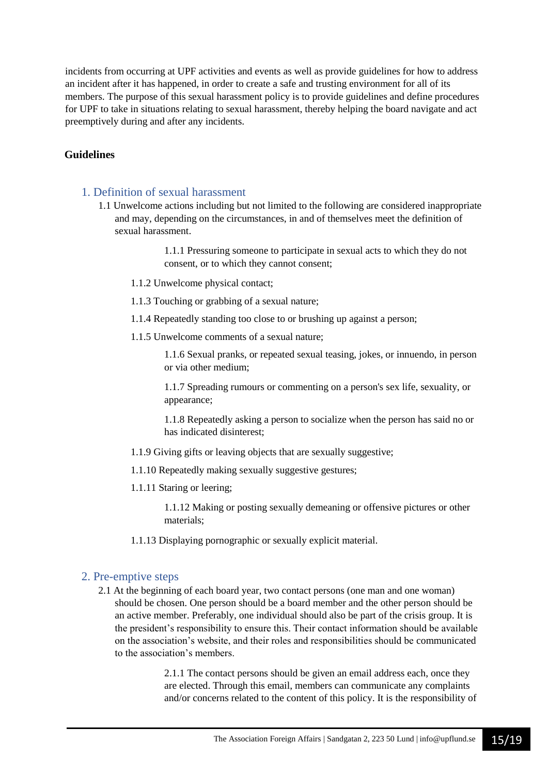incidents from occurring at UPF activities and events as well as provide guidelines for how to address an incident after it has happened, in order to create a safe and trusting environment for all of its members. The purpose of this sexual harassment policy is to provide guidelines and define procedures for UPF to take in situations relating to sexual harassment, thereby helping the board navigate and act preemptively during and after any incidents.

## **Guidelines**

### 1. Definition of sexual harassment

1.1 Unwelcome actions including but not limited to the following are considered inappropriate and may, depending on the circumstances, in and of themselves meet the definition of sexual harassment.

> 1.1.1 Pressuring someone to participate in sexual acts to which they do not consent, or to which they cannot consent;

- 1.1.2 Unwelcome physical contact;
- 1.1.3 Touching or grabbing of a sexual nature;
- 1.1.4 Repeatedly standing too close to or brushing up against a person;
- 1.1.5 Unwelcome comments of a sexual nature;

1.1.6 Sexual pranks, or repeated sexual teasing, jokes, or innuendo, in person or via other medium;

1.1.7 Spreading rumours or commenting on a person's sex life, sexuality, or appearance;

1.1.8 Repeatedly asking a person to socialize when the person has said no or has indicated disinterest;

- 1.1.9 Giving gifts or leaving objects that are sexually suggestive;
- 1.1.10 Repeatedly making sexually suggestive gestures;
- 1.1.11 Staring or leering;

1.1.12 Making or posting sexually demeaning or offensive pictures or other materials;

1.1.13 Displaying pornographic or sexually explicit material.

#### 2. Pre-emptive steps

2.1 At the beginning of each board year, two contact persons (one man and one woman) should be chosen. One person should be a board member and the other person should be an active member. Preferably, one individual should also be part of the crisis group. It is the president's responsibility to ensure this. Their contact information should be available on the association's website, and their roles and responsibilities should be communicated to the association's members.

> 2.1.1 The contact persons should be given an email address each, once they are elected. Through this email, members can communicate any complaints and/or concerns related to the content of this policy. It is the responsibility of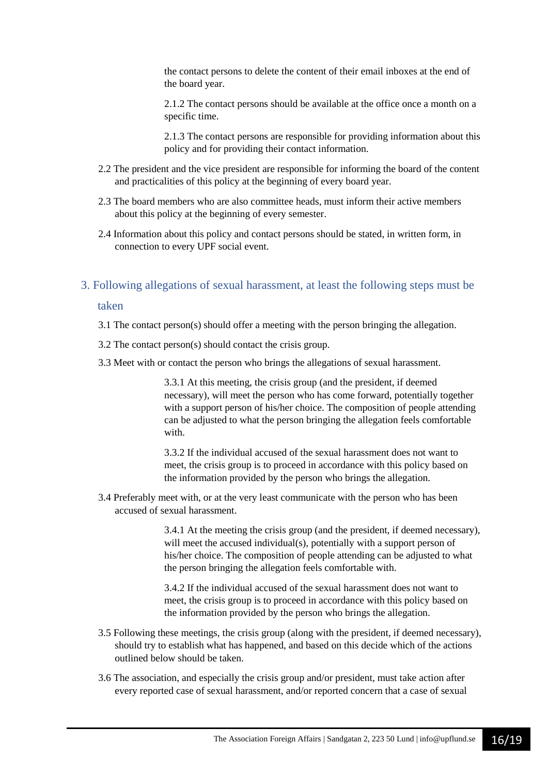the contact persons to delete the content of their email inboxes at the end of the board year.

2.1.2 The contact persons should be available at the office once a month on a specific time.

2.1.3 The contact persons are responsible for providing information about this policy and for providing their contact information.

- 2.2 The president and the vice president are responsible for informing the board of the content and practicalities of this policy at the beginning of every board year.
- 2.3 The board members who are also committee heads, must inform their active members about this policy at the beginning of every semester.
- 2.4 Information about this policy and contact persons should be stated, in written form, in connection to every UPF social event.

## 3. Following allegations of sexual harassment, at least the following steps must be

#### taken

- 3.1 The contact person(s) should offer a meeting with the person bringing the allegation.
- 3.2 The contact person(s) should contact the crisis group.
- 3.3 Meet with or contact the person who brings the allegations of sexual harassment.

3.3.1 At this meeting, the crisis group (and the president, if deemed necessary), will meet the person who has come forward, potentially together with a support person of his/her choice. The composition of people attending can be adjusted to what the person bringing the allegation feels comfortable with.

3.3.2 If the individual accused of the sexual harassment does not want to meet, the crisis group is to proceed in accordance with this policy based on the information provided by the person who brings the allegation.

3.4 Preferably meet with, or at the very least communicate with the person who has been accused of sexual harassment.

> 3.4.1 At the meeting the crisis group (and the president, if deemed necessary), will meet the accused individual(s), potentially with a support person of his/her choice. The composition of people attending can be adjusted to what the person bringing the allegation feels comfortable with.

3.4.2 If the individual accused of the sexual harassment does not want to meet, the crisis group is to proceed in accordance with this policy based on the information provided by the person who brings the allegation.

- 3.5 Following these meetings, the crisis group (along with the president, if deemed necessary), should try to establish what has happened, and based on this decide which of the actions outlined below should be taken.
- 3.6 The association, and especially the crisis group and/or president, must take action after every reported case of sexual harassment, and/or reported concern that a case of sexual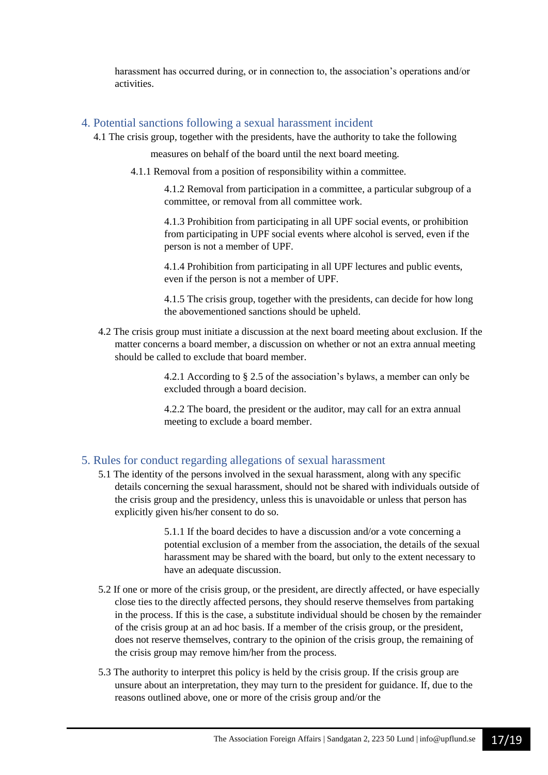harassment has occurred during, or in connection to, the association's operations and/or activities.

## 4. Potential sanctions following a sexual harassment incident

4.1 The crisis group, together with the presidents, have the authority to take the following

measures on behalf of the board until the next board meeting.

4.1.1 Removal from a position of responsibility within a committee.

4.1.2 Removal from participation in a committee, a particular subgroup of a committee, or removal from all committee work.

4.1.3 Prohibition from participating in all UPF social events, or prohibition from participating in UPF social events where alcohol is served, even if the person is not a member of UPF.

4.1.4 Prohibition from participating in all UPF lectures and public events, even if the person is not a member of UPF.

4.1.5 The crisis group, together with the presidents, can decide for how long the abovementioned sanctions should be upheld.

4.2 The crisis group must initiate a discussion at the next board meeting about exclusion. If the matter concerns a board member, a discussion on whether or not an extra annual meeting should be called to exclude that board member.

> 4.2.1 According to § 2.5 of the association's bylaws, a member can only be excluded through a board decision.

4.2.2 The board, the president or the auditor, may call for an extra annual meeting to exclude a board member.

## 5. Rules for conduct regarding allegations of sexual harassment

5.1 The identity of the persons involved in the sexual harassment, along with any specific details concerning the sexual harassment, should not be shared with individuals outside of the crisis group and the presidency, unless this is unavoidable or unless that person has explicitly given his/her consent to do so.

> 5.1.1 If the board decides to have a discussion and/or a vote concerning a potential exclusion of a member from the association, the details of the sexual harassment may be shared with the board, but only to the extent necessary to have an adequate discussion.

- 5.2 If one or more of the crisis group, or the president, are directly affected, or have especially close ties to the directly affected persons, they should reserve themselves from partaking in the process. If this is the case, a substitute individual should be chosen by the remainder of the crisis group at an ad hoc basis. If a member of the crisis group, or the president, does not reserve themselves, contrary to the opinion of the crisis group, the remaining of the crisis group may remove him/her from the process.
- 5.3 The authority to interpret this policy is held by the crisis group. If the crisis group are unsure about an interpretation, they may turn to the president for guidance. If, due to the reasons outlined above, one or more of the crisis group and/or the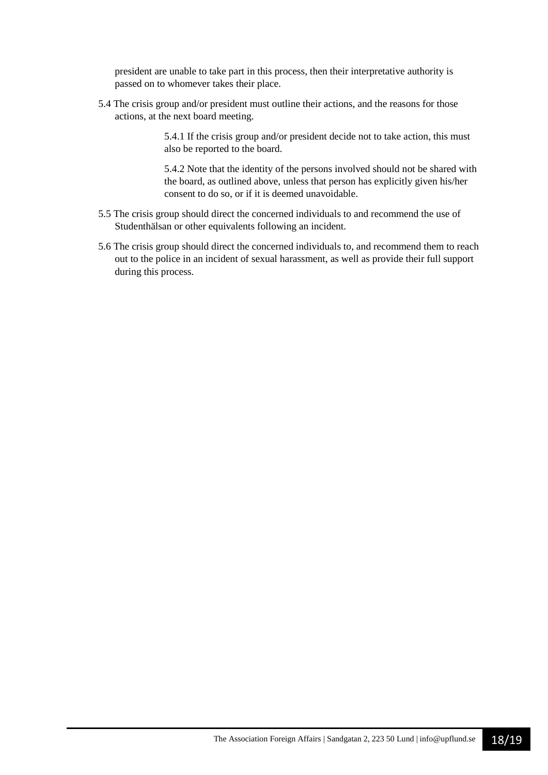president are unable to take part in this process, then their interpretative authority is passed on to whomever takes their place.

5.4 The crisis group and/or president must outline their actions, and the reasons for those actions, at the next board meeting.

> 5.4.1 If the crisis group and/or president decide not to take action, this must also be reported to the board.

5.4.2 Note that the identity of the persons involved should not be shared with the board, as outlined above, unless that person has explicitly given his/her consent to do so, or if it is deemed unavoidable.

- 5.5 The crisis group should direct the concerned individuals to and recommend the use of Studenthälsan or other equivalents following an incident.
- 5.6 The crisis group should direct the concerned individuals to, and recommend them to reach out to the police in an incident of sexual harassment, as well as provide their full support during this process.